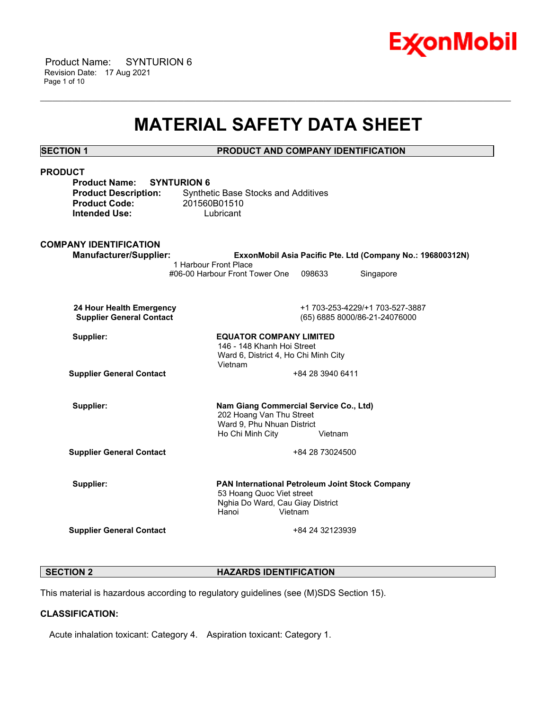

 Product Name: SYNTURION 6 Revision Date: 17 Aug 2021 Page 1 of 10

# **MATERIAL SAFETY DATA SHEET**

\_\_\_\_\_\_\_\_\_\_\_\_\_\_\_\_\_\_\_\_\_\_\_\_\_\_\_\_\_\_\_\_\_\_\_\_\_\_\_\_\_\_\_\_\_\_\_\_\_\_\_\_\_\_\_\_\_\_\_\_\_\_\_\_\_\_\_\_\_\_\_\_\_\_\_\_\_\_\_\_\_\_\_\_\_\_\_\_\_\_\_\_\_\_\_\_\_\_\_\_\_\_\_\_\_\_\_\_\_\_\_\_\_\_\_\_\_\_

**SECTION 1 PRODUCT AND COMPANY IDENTIFICATION**

| <b>PRODUCT</b>                             |                                                                    |                  |                                                            |  |
|--------------------------------------------|--------------------------------------------------------------------|------------------|------------------------------------------------------------|--|
| <b>Product Name:</b><br><b>SYNTURION 6</b> |                                                                    |                  |                                                            |  |
| <b>Product Description:</b>                | <b>Synthetic Base Stocks and Additives</b>                         |                  |                                                            |  |
| <b>Product Code:</b>                       | 201560B01510                                                       |                  |                                                            |  |
| <b>Intended Use:</b>                       | Lubricant                                                          |                  |                                                            |  |
|                                            |                                                                    |                  |                                                            |  |
|                                            |                                                                    |                  |                                                            |  |
| <b>COMPANY IDENTIFICATION</b>              |                                                                    |                  |                                                            |  |
| <b>Manufacturer/Supplier:</b>              | 1 Harbour Front Place                                              |                  | ExxonMobil Asia Pacific Pte. Ltd (Company No.: 196800312N) |  |
|                                            | #06-00 Harbour Front Tower One                                     | 098633           | Singapore                                                  |  |
|                                            |                                                                    |                  |                                                            |  |
|                                            |                                                                    |                  |                                                            |  |
| 24 Hour Health Emergency                   |                                                                    |                  | +1 703-253-4229/+1 703-527-3887                            |  |
| <b>Supplier General Contact</b>            |                                                                    |                  | (65) 6885 8000/86-21-24076000                              |  |
|                                            |                                                                    |                  |                                                            |  |
| Supplier:                                  | <b>EQUATOR COMPANY LIMITED</b>                                     |                  |                                                            |  |
|                                            | 146 - 148 Khanh Hoi Street                                         |                  |                                                            |  |
|                                            | Ward 6, District 4, Ho Chi Minh City                               |                  |                                                            |  |
|                                            | Vietnam                                                            |                  |                                                            |  |
| <b>Supplier General Contact</b>            |                                                                    | +84 28 3940 6411 |                                                            |  |
|                                            |                                                                    |                  |                                                            |  |
|                                            |                                                                    |                  |                                                            |  |
| Supplier:                                  | Nam Giang Commercial Service Co., Ltd)<br>202 Hoang Van Thu Street |                  |                                                            |  |
|                                            | Ward 9, Phu Nhuan District                                         |                  |                                                            |  |
|                                            | Ho Chi Minh City                                                   | Vietnam          |                                                            |  |
|                                            |                                                                    |                  |                                                            |  |
| <b>Supplier General Contact</b>            |                                                                    | +84 28 73024500  |                                                            |  |
|                                            |                                                                    |                  |                                                            |  |
|                                            |                                                                    |                  |                                                            |  |
| Supplier:                                  | PAN International Petroleum Joint Stock Company                    |                  |                                                            |  |
|                                            | 53 Hoang Quoc Viet street                                          |                  |                                                            |  |
|                                            | Nghia Do Ward, Cau Giay District<br>Hanoi<br>Vietnam               |                  |                                                            |  |
|                                            |                                                                    |                  |                                                            |  |
| <b>Supplier General Contact</b>            |                                                                    | +84 24 32123939  |                                                            |  |
|                                            |                                                                    |                  |                                                            |  |
|                                            |                                                                    |                  |                                                            |  |

# **SECTION 2 HAZARDS IDENTIFICATION**

This material is hazardous according to regulatory guidelines (see (M)SDS Section 15).

# **CLASSIFICATION:**

Acute inhalation toxicant: Category 4. Aspiration toxicant: Category 1.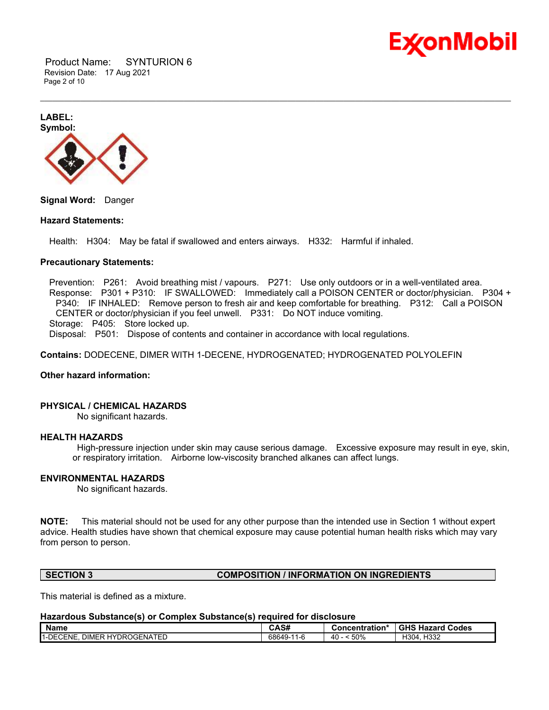

 Product Name: SYNTURION 6 Revision Date: 17 Aug 2021 Page 2 of 10

**LABEL: Symbol:**

**Signal Word:** Danger

#### **Hazard Statements:**

Health: H304: May be fatal if swallowed and enters airways. H332: Harmful if inhaled.

#### **Precautionary Statements:**

 Prevention: P261: Avoid breathing mist / vapours. P271: Use only outdoors or in a well-ventilated area. Response: P301 + P310: IF SWALLOWED: Immediately call a POISON CENTER or doctor/physician. P304 + P340: IF INHALED: Remove person to fresh air and keep comfortable for breathing. P312: Call a POISON CENTER or doctor/physician if you feel unwell. P331: Do NOT induce vomiting.

\_\_\_\_\_\_\_\_\_\_\_\_\_\_\_\_\_\_\_\_\_\_\_\_\_\_\_\_\_\_\_\_\_\_\_\_\_\_\_\_\_\_\_\_\_\_\_\_\_\_\_\_\_\_\_\_\_\_\_\_\_\_\_\_\_\_\_\_\_\_\_\_\_\_\_\_\_\_\_\_\_\_\_\_\_\_\_\_\_\_\_\_\_\_\_\_\_\_\_\_\_\_\_\_\_\_\_\_\_\_\_\_\_\_\_\_\_\_

Storage: P405: Store locked up.

Disposal: P501: Dispose of contents and container in accordance with local regulations.

**Contains:** DODECENE, DIMER WITH 1-DECENE, HYDROGENATED; HYDROGENATED POLYOLEFIN

#### **Other hazard information:**

# **PHYSICAL / CHEMICAL HAZARDS**

No significant hazards.

#### **HEALTH HAZARDS**

High-pressure injection under skin may cause serious damage. Excessive exposure may result in eye, skin, or respiratory irritation. Airborne low-viscosity branched alkanes can affect lungs.

#### **ENVIRONMENTAL HAZARDS**

No significant hazards.

**NOTE:** This material should not be used for any other purpose than the intended use in Section 1 without expert advice. Health studies have shown that chemical exposure may cause potential human health risks which may vary from person to person.

#### **SECTION 3 COMPOSITION / INFORMATION ON INGREDIENTS**

This material is defined as a mixture.

#### **Hazardous Substance(s) or Complex Substance(s) required for disclosure**

| <b>Name</b>                                          | CAS#                    | Concentration* | <b>GHS Hazard</b><br>Codes |
|------------------------------------------------------|-------------------------|----------------|----------------------------|
| . DIMER HYDROGENATED<br><b>PENE.</b><br>$1-DE$<br>◡∟ | 68649-<br>11<br>$1 - F$ | 50%<br>40      | H332<br>1304               |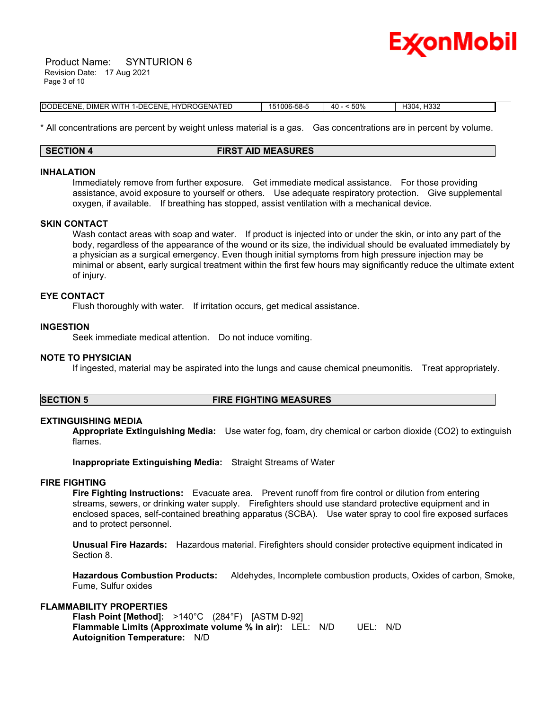

 Product Name: SYNTURION 6 Revision Date: 17 Aug 2021 Page 3 of 10

| 11-DECENE. HYDROGENATED<br>DODECENE.<br>DIMER WITH | 151006-58-5 | 50%<br>Λſ | H304. H332 |  |
|----------------------------------------------------|-------------|-----------|------------|--|

\* All concentrations are percent by weight unless material is a gas. Gas concentrations are in percent by volume.

#### **SECTION 4 FIRST AID MEASURES**

#### **INHALATION**

Immediately remove from further exposure. Get immediate medical assistance. For those providing assistance, avoid exposure to yourself or others. Use adequate respiratory protection. Give supplemental oxygen, if available. If breathing has stopped, assist ventilation with a mechanical device.

#### **SKIN CONTACT**

Wash contact areas with soap and water. If product is injected into or under the skin, or into any part of the body, regardless of the appearance of the wound or its size, the individual should be evaluated immediately by a physician as a surgical emergency. Even though initial symptoms from high pressure injection may be minimal or absent, early surgical treatment within the first few hours may significantly reduce the ultimate extent of injury.

#### **EYE CONTACT**

Flush thoroughly with water. If irritation occurs, get medical assistance.

#### **INGESTION**

Seek immediate medical attention. Do not induce vomiting.

#### **NOTE TO PHYSICIAN**

If ingested, material may be aspirated into the lungs and cause chemical pneumonitis. Treat appropriately.

# **SECTION 5 FIRE FIGHTING MEASURES**

#### **EXTINGUISHING MEDIA**

**Appropriate Extinguishing Media:** Use water fog, foam, dry chemical or carbon dioxide (CO2) to extinguish flames.

**Inappropriate Extinguishing Media:** Straight Streams of Water

#### **FIRE FIGHTING**

**Fire Fighting Instructions:** Evacuate area. Prevent runoff from fire control or dilution from entering streams, sewers, or drinking water supply. Firefighters should use standard protective equipment and in enclosed spaces, self-contained breathing apparatus (SCBA). Use water spray to cool fire exposed surfaces and to protect personnel.

**Unusual Fire Hazards:** Hazardous material. Firefighters should consider protective equipment indicated in Section 8.

**Hazardous Combustion Products:** Aldehydes, Incomplete combustion products, Oxides of carbon, Smoke, Fume, Sulfur oxides

#### **FLAMMABILITY PROPERTIES**

**Flash Point [Method]:** >140°C (284°F) [ASTM D-92] **Flammable Limits (Approximate volume % in air):** LEL: N/D UEL: N/D **Autoignition Temperature:** N/D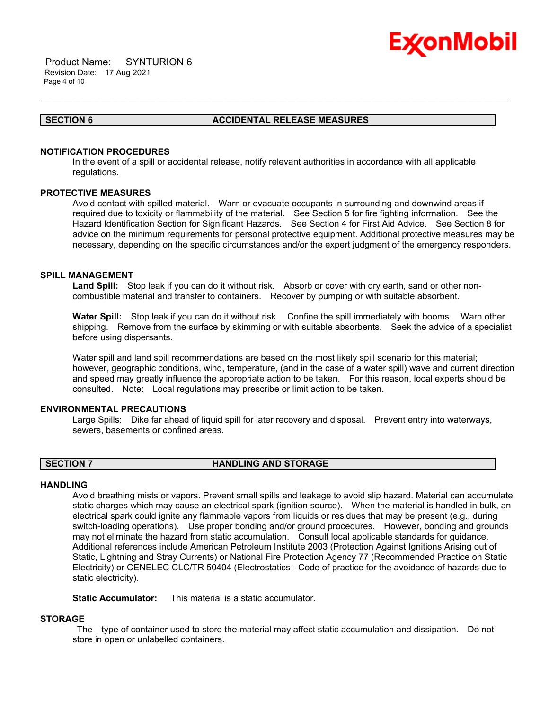

 Product Name: SYNTURION 6 Revision Date: 17 Aug 2021 Page 4 of 10

### **SECTION 6 ACCIDENTAL RELEASE MEASURES**

#### **NOTIFICATION PROCEDURES**

In the event of a spill or accidental release, notify relevant authorities in accordance with all applicable regulations.

\_\_\_\_\_\_\_\_\_\_\_\_\_\_\_\_\_\_\_\_\_\_\_\_\_\_\_\_\_\_\_\_\_\_\_\_\_\_\_\_\_\_\_\_\_\_\_\_\_\_\_\_\_\_\_\_\_\_\_\_\_\_\_\_\_\_\_\_\_\_\_\_\_\_\_\_\_\_\_\_\_\_\_\_\_\_\_\_\_\_\_\_\_\_\_\_\_\_\_\_\_\_\_\_\_\_\_\_\_\_\_\_\_\_\_\_\_\_

# **PROTECTIVE MEASURES**

Avoid contact with spilled material. Warn or evacuate occupants in surrounding and downwind areas if required due to toxicity or flammability of the material. See Section 5 for fire fighting information. See the Hazard Identification Section for Significant Hazards. See Section 4 for First Aid Advice. See Section 8 for advice on the minimum requirements for personal protective equipment. Additional protective measures may be necessary, depending on the specific circumstances and/or the expert judgment of the emergency responders.

#### **SPILL MANAGEMENT**

**Land Spill:** Stop leak if you can do it without risk. Absorb or cover with dry earth, sand or other noncombustible material and transfer to containers. Recover by pumping or with suitable absorbent.

**Water Spill:** Stop leak if you can do it without risk. Confine the spill immediately with booms. Warn other shipping. Remove from the surface by skimming or with suitable absorbents. Seek the advice of a specialist before using dispersants.

Water spill and land spill recommendations are based on the most likely spill scenario for this material; however, geographic conditions, wind, temperature, (and in the case of a water spill) wave and current direction and speed may greatly influence the appropriate action to be taken. For this reason, local experts should be consulted. Note: Local regulations may prescribe or limit action to be taken.

#### **ENVIRONMENTAL PRECAUTIONS**

Large Spills: Dike far ahead of liquid spill for later recovery and disposal. Prevent entry into waterways, sewers, basements or confined areas.

#### **SECTION 7 HANDLING AND STORAGE**

#### **HANDLING**

Avoid breathing mists or vapors. Prevent small spills and leakage to avoid slip hazard. Material can accumulate static charges which may cause an electrical spark (ignition source). When the material is handled in bulk, an electrical spark could ignite any flammable vapors from liquids or residues that may be present (e.g., during switch-loading operations). Use proper bonding and/or ground procedures. However, bonding and grounds may not eliminate the hazard from static accumulation. Consult local applicable standards for guidance. Additional references include American Petroleum Institute 2003 (Protection Against Ignitions Arising out of Static, Lightning and Stray Currents) or National Fire Protection Agency 77 (Recommended Practice on Static Electricity) or CENELEC CLC/TR 50404 (Electrostatics - Code of practice for the avoidance of hazards due to static electricity).

**Static Accumulator:** This material is a static accumulator.

#### **STORAGE**

The type of container used to store the material may affect static accumulation and dissipation. Do not store in open or unlabelled containers.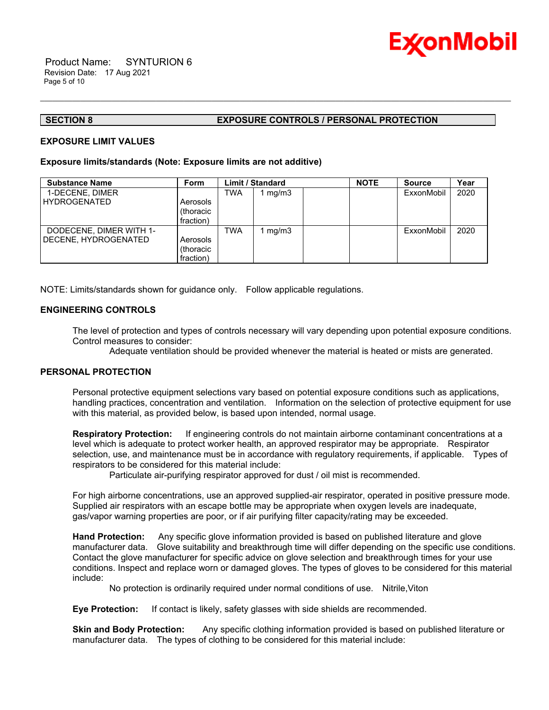

### **SECTION 8 EXPOSURE CONTROLS / PERSONAL PROTECTION**

#### **EXPOSURE LIMIT VALUES**

#### **Exposure limits/standards (Note: Exposure limits are not additive)**

| <b>Substance Name</b>   | Form      |            | <b>Limit / Standard</b> | <b>NOTE</b> | <b>Source</b> | Year |
|-------------------------|-----------|------------|-------------------------|-------------|---------------|------|
| 1-DECENE, DIMER         |           | <b>TWA</b> | mg/m3                   |             | ExxonMobil    | 2020 |
| <b>HYDROGENATED</b>     | Aerosols  |            |                         |             |               |      |
|                         | (thoracic |            |                         |             |               |      |
|                         | fraction) |            |                         |             |               |      |
| DODECENE, DIMER WITH 1- |           | <b>TWA</b> | mq/m3                   |             | ExxonMobil    | 2020 |
| DECENE, HYDROGENATED    | Aerosols  |            |                         |             |               |      |
|                         | (thoracic |            |                         |             |               |      |
|                         | fraction) |            |                         |             |               |      |

\_\_\_\_\_\_\_\_\_\_\_\_\_\_\_\_\_\_\_\_\_\_\_\_\_\_\_\_\_\_\_\_\_\_\_\_\_\_\_\_\_\_\_\_\_\_\_\_\_\_\_\_\_\_\_\_\_\_\_\_\_\_\_\_\_\_\_\_\_\_\_\_\_\_\_\_\_\_\_\_\_\_\_\_\_\_\_\_\_\_\_\_\_\_\_\_\_\_\_\_\_\_\_\_\_\_\_\_\_\_\_\_\_\_\_\_\_\_

NOTE: Limits/standards shown for guidance only. Follow applicable regulations.

### **ENGINEERING CONTROLS**

The level of protection and types of controls necessary will vary depending upon potential exposure conditions. Control measures to consider:

Adequate ventilation should be provided whenever the material is heated or mists are generated.

### **PERSONAL PROTECTION**

Personal protective equipment selections vary based on potential exposure conditions such as applications, handling practices, concentration and ventilation. Information on the selection of protective equipment for use with this material, as provided below, is based upon intended, normal usage.

**Respiratory Protection:** If engineering controls do not maintain airborne contaminant concentrations at a level which is adequate to protect worker health, an approved respirator may be appropriate. Respirator selection, use, and maintenance must be in accordance with regulatory requirements, if applicable. Types of respirators to be considered for this material include:

Particulate air-purifying respirator approved for dust / oil mist is recommended.

For high airborne concentrations, use an approved supplied-air respirator, operated in positive pressure mode. Supplied air respirators with an escape bottle may be appropriate when oxygen levels are inadequate, gas/vapor warning properties are poor, or if air purifying filter capacity/rating may be exceeded.

**Hand Protection:** Any specific glove information provided is based on published literature and glove manufacturer data. Glove suitability and breakthrough time will differ depending on the specific use conditions. Contact the glove manufacturer for specific advice on glove selection and breakthrough times for your use conditions. Inspect and replace worn or damaged gloves. The types of gloves to be considered for this material include:

No protection is ordinarily required under normal conditions of use. Nitrile,Viton

**Eye Protection:** If contact is likely, safety glasses with side shields are recommended.

**Skin and Body Protection:** Any specific clothing information provided is based on published literature or manufacturer data. The types of clothing to be considered for this material include: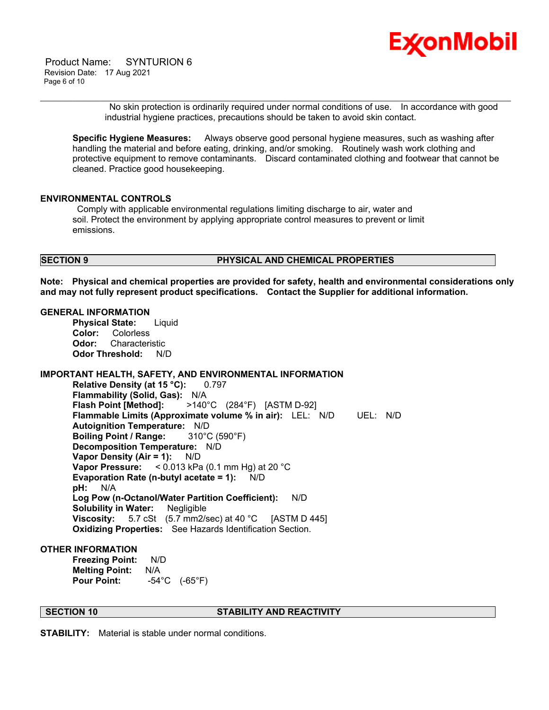

 Product Name: SYNTURION 6 Revision Date: 17 Aug 2021 Page 6 of 10

> No skin protection is ordinarily required under normal conditions of use. In accordance with good industrial hygiene practices, precautions should be taken to avoid skin contact.

**Specific Hygiene Measures:** Always observe good personal hygiene measures, such as washing after handling the material and before eating, drinking, and/or smoking. Routinely wash work clothing and protective equipment to remove contaminants. Discard contaminated clothing and footwear that cannot be cleaned. Practice good housekeeping.

\_\_\_\_\_\_\_\_\_\_\_\_\_\_\_\_\_\_\_\_\_\_\_\_\_\_\_\_\_\_\_\_\_\_\_\_\_\_\_\_\_\_\_\_\_\_\_\_\_\_\_\_\_\_\_\_\_\_\_\_\_\_\_\_\_\_\_\_\_\_\_\_\_\_\_\_\_\_\_\_\_\_\_\_\_\_\_\_\_\_\_\_\_\_\_\_\_\_\_\_\_\_\_\_\_\_\_\_\_\_\_\_\_\_\_\_\_\_

# **ENVIRONMENTAL CONTROLS**

Comply with applicable environmental regulations limiting discharge to air, water and soil. Protect the environment by applying appropriate control measures to prevent or limit emissions.

#### **SECTION 9 PHYSICAL AND CHEMICAL PROPERTIES**

**Note: Physical and chemical properties are provided for safety, health and environmental considerations only and may not fully represent product specifications. Contact the Supplier for additional information.**

#### **GENERAL INFORMATION**

**Physical State:** Liquid **Color:** Colorless **Odor:** Characteristic **Odor Threshold:** N/D

# **IMPORTANT HEALTH, SAFETY, AND ENVIRONMENTAL INFORMATION**

**Relative Density (at 15 °C):** 0.797 **Flammability (Solid, Gas):** N/A **Flash Point [Method]:** >140°C (284°F) [ASTM D-92] **Flammable Limits (Approximate volume % in air):** LEL: N/D UEL: N/D **Autoignition Temperature:** N/D **Boiling Point / Range:** 310°C (590°F) **Decomposition Temperature:** N/D **Vapor Density (Air = 1):** N/D **Vapor Pressure:** < 0.013 kPa (0.1 mm Hg) at 20 °C **Evaporation Rate (n-butyl acetate = 1):** N/D **pH:** N/A **Log Pow (n-Octanol/Water Partition Coefficient):** N/D **Solubility in Water:** Negligible **Viscosity:** 5.7 cSt (5.7 mm2/sec) at 40 °C [ASTM D 445] **Oxidizing Properties:** See Hazards Identification Section.

#### **OTHER INFORMATION**

**Freezing Point:** N/D **Melting Point:** N/A **Pour Point:** -54°C (-65°F)

### **SECTION 10 STABILITY AND REACTIVITY**

**STABILITY:** Material is stable under normal conditions.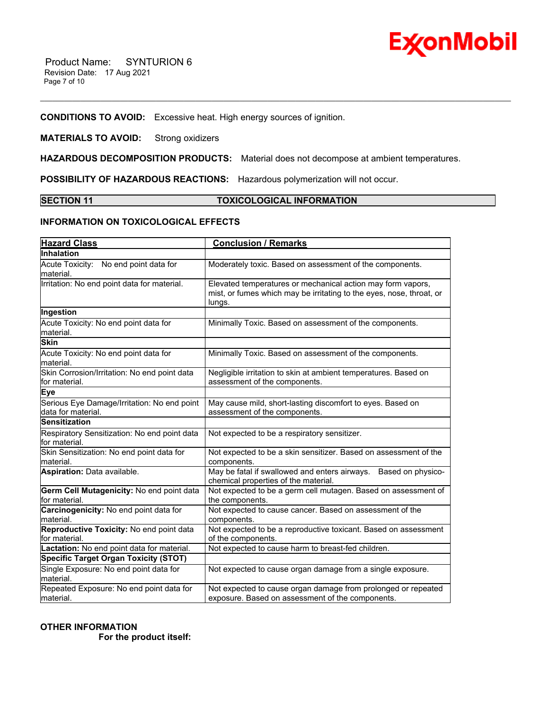

# **CONDITIONS TO AVOID:** Excessive heat. High energy sources of ignition.

# **MATERIALS TO AVOID:** Strong oxidizers

**HAZARDOUS DECOMPOSITION PRODUCTS:** Material does not decompose at ambient temperatures.

**POSSIBILITY OF HAZARDOUS REACTIONS:** Hazardous polymerization will not occur.

# **SECTION 11 TOXICOLOGICAL INFORMATION**

\_\_\_\_\_\_\_\_\_\_\_\_\_\_\_\_\_\_\_\_\_\_\_\_\_\_\_\_\_\_\_\_\_\_\_\_\_\_\_\_\_\_\_\_\_\_\_\_\_\_\_\_\_\_\_\_\_\_\_\_\_\_\_\_\_\_\_\_\_\_\_\_\_\_\_\_\_\_\_\_\_\_\_\_\_\_\_\_\_\_\_\_\_\_\_\_\_\_\_\_\_\_\_\_\_\_\_\_\_\_\_\_\_\_\_\_\_\_

# **INFORMATION ON TOXICOLOGICAL EFFECTS**

| <b>Hazard Class</b>                                               | <b>Conclusion / Remarks</b>                                                                                                                   |
|-------------------------------------------------------------------|-----------------------------------------------------------------------------------------------------------------------------------------------|
| <b>Inhalation</b>                                                 |                                                                                                                                               |
| Acute Toxicity: No end point data for<br>material.                | Moderately toxic. Based on assessment of the components.                                                                                      |
| Irritation: No end point data for material.                       | Elevated temperatures or mechanical action may form vapors,<br>mist, or fumes which may be irritating to the eyes, nose, throat, or<br>lungs. |
| Ingestion                                                         |                                                                                                                                               |
| Acute Toxicity: No end point data for<br>material.                | Minimally Toxic. Based on assessment of the components.                                                                                       |
| <b>Skin</b>                                                       |                                                                                                                                               |
| Acute Toxicity: No end point data for<br>material.                | Minimally Toxic. Based on assessment of the components.                                                                                       |
| Skin Corrosion/Irritation: No end point data<br>for material.     | Negligible irritation to skin at ambient temperatures. Based on<br>assessment of the components.                                              |
| <b>Eye</b>                                                        |                                                                                                                                               |
| Serious Eye Damage/Irritation: No end point<br>data for material. | May cause mild, short-lasting discomfort to eyes. Based on<br>assessment of the components.                                                   |
| <b>Sensitization</b>                                              |                                                                                                                                               |
| Respiratory Sensitization: No end point data<br>for material.     | Not expected to be a respiratory sensitizer.                                                                                                  |
| Skin Sensitization: No end point data for<br>material.            | Not expected to be a skin sensitizer. Based on assessment of the<br>components.                                                               |
| Aspiration: Data available.                                       | May be fatal if swallowed and enters airways. Based on physico-<br>chemical properties of the material.                                       |
| Germ Cell Mutagenicity: No end point data<br>for material.        | Not expected to be a germ cell mutagen. Based on assessment of<br>the components.                                                             |
| Carcinogenicity: No end point data for<br>material.               | Not expected to cause cancer. Based on assessment of the<br>components.                                                                       |
| Reproductive Toxicity: No end point data<br>for material.         | Not expected to be a reproductive toxicant. Based on assessment<br>of the components.                                                         |
| Lactation: No end point data for material.                        | Not expected to cause harm to breast-fed children.                                                                                            |
| <b>Specific Target Organ Toxicity (STOT)</b>                      |                                                                                                                                               |
| Single Exposure: No end point data for<br>material.               | Not expected to cause organ damage from a single exposure.                                                                                    |
| Repeated Exposure: No end point data for<br>material.             | Not expected to cause organ damage from prolonged or repeated<br>exposure. Based on assessment of the components.                             |

# **OTHER INFORMATION For the product itself:**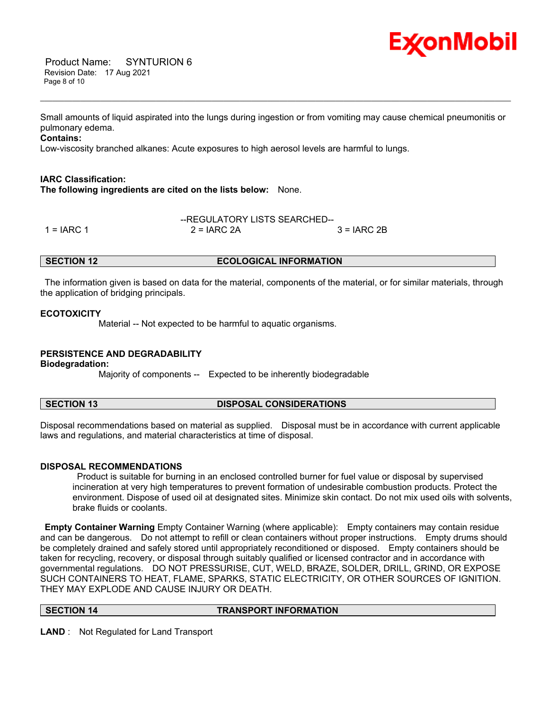

 Product Name: SYNTURION 6 Revision Date: 17 Aug 2021 Page 8 of 10

Small amounts of liquid aspirated into the lungs during ingestion or from vomiting may cause chemical pneumonitis or pulmonary edema.

\_\_\_\_\_\_\_\_\_\_\_\_\_\_\_\_\_\_\_\_\_\_\_\_\_\_\_\_\_\_\_\_\_\_\_\_\_\_\_\_\_\_\_\_\_\_\_\_\_\_\_\_\_\_\_\_\_\_\_\_\_\_\_\_\_\_\_\_\_\_\_\_\_\_\_\_\_\_\_\_\_\_\_\_\_\_\_\_\_\_\_\_\_\_\_\_\_\_\_\_\_\_\_\_\_\_\_\_\_\_\_\_\_\_\_\_\_\_

### **Contains:**

Low-viscosity branched alkanes: Acute exposures to high aerosol levels are harmful to lungs.

### **IARC Classification:**

**The following ingredients are cited on the lists below:** None.

|            | --REGULATORY LISTS SEARCHED-- |               |  |  |
|------------|-------------------------------|---------------|--|--|
| 1 = IARC 1 | $2 = IARC 2A$                 | $3 = IARC 2B$ |  |  |

# **SECTION 12 ECOLOGICAL INFORMATION**

The information given is based on data for the material, components of the material, or for similar materials, through the application of bridging principals.

#### **ECOTOXICITY**

Material -- Not expected to be harmful to aquatic organisms.

#### **PERSISTENCE AND DEGRADABILITY**

**Biodegradation:**

Majority of components -- Expected to be inherently biodegradable

### **SECTION 13 DISPOSAL CONSIDERATIONS**

Disposal recommendations based on material as supplied. Disposal must be in accordance with current applicable laws and regulations, and material characteristics at time of disposal.

#### **DISPOSAL RECOMMENDATIONS**

Product is suitable for burning in an enclosed controlled burner for fuel value or disposal by supervised incineration at very high temperatures to prevent formation of undesirable combustion products. Protect the environment. Dispose of used oil at designated sites. Minimize skin contact. Do not mix used oils with solvents, brake fluids or coolants.

**Empty Container Warning** Empty Container Warning (where applicable): Empty containers may contain residue and can be dangerous. Do not attempt to refill or clean containers without proper instructions. Empty drums should be completely drained and safely stored until appropriately reconditioned or disposed. Empty containers should be taken for recycling, recovery, or disposal through suitably qualified or licensed contractor and in accordance with governmental regulations. DO NOT PRESSURISE, CUT, WELD, BRAZE, SOLDER, DRILL, GRIND, OR EXPOSE SUCH CONTAINERS TO HEAT, FLAME, SPARKS, STATIC ELECTRICITY, OR OTHER SOURCES OF IGNITION. THEY MAY EXPLODE AND CAUSE INJURY OR DEATH.

#### **SECTION 14 TRANSPORT INFORMATION**

**LAND** : Not Regulated for Land Transport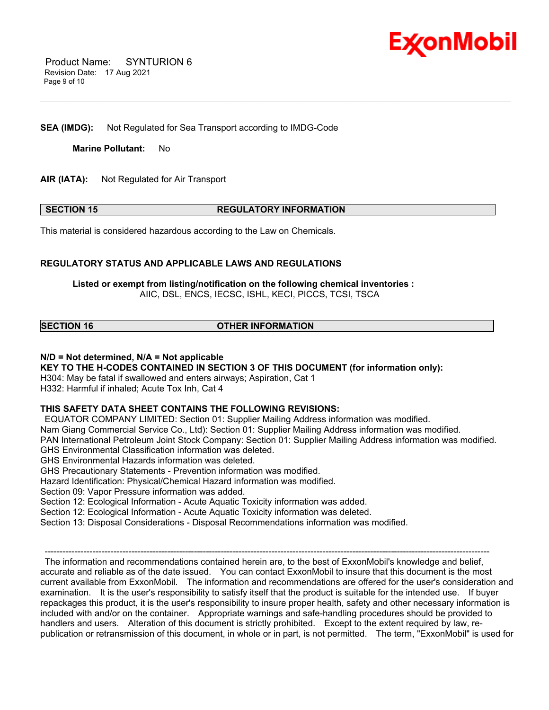

 Product Name: SYNTURION 6 Revision Date: 17 Aug 2021 Page 9 of 10

**SEA (IMDG):** Not Regulated for Sea Transport according to IMDG-Code

**Marine Pollutant:** No

**AIR (IATA):** Not Regulated for Air Transport

#### **SECTION 15 REGULATORY INFORMATION**

\_\_\_\_\_\_\_\_\_\_\_\_\_\_\_\_\_\_\_\_\_\_\_\_\_\_\_\_\_\_\_\_\_\_\_\_\_\_\_\_\_\_\_\_\_\_\_\_\_\_\_\_\_\_\_\_\_\_\_\_\_\_\_\_\_\_\_\_\_\_\_\_\_\_\_\_\_\_\_\_\_\_\_\_\_\_\_\_\_\_\_\_\_\_\_\_\_\_\_\_\_\_\_\_\_\_\_\_\_\_\_\_\_\_\_\_\_\_

This material is considered hazardous according to the Law on Chemicals.

### **REGULATORY STATUS AND APPLICABLE LAWS AND REGULATIONS**

**Listed or exempt from listing/notification on the following chemical inventories :**  AIIC, DSL, ENCS, IECSC, ISHL, KECI, PICCS, TCSI, TSCA

# **SECTION 16 OTHER INFORMATION**

# **N/D = Not determined, N/A = Not applicable**

**KEY TO THE H-CODES CONTAINED IN SECTION 3 OF THIS DOCUMENT (for information only):** H304: May be fatal if swallowed and enters airways; Aspiration, Cat 1

H332: Harmful if inhaled; Acute Tox Inh, Cat 4

# **THIS SAFETY DATA SHEET CONTAINS THE FOLLOWING REVISIONS:**

EQUATOR COMPANY LIMITED: Section 01: Supplier Mailing Address information was modified.

Nam Giang Commercial Service Co., Ltd): Section 01: Supplier Mailing Address information was modified.

PAN International Petroleum Joint Stock Company: Section 01: Supplier Mailing Address information was modified. GHS Environmental Classification information was deleted.

GHS Environmental Hazards information was deleted.

GHS Precautionary Statements - Prevention information was modified.

Hazard Identification: Physical/Chemical Hazard information was modified.

Section 09: Vapor Pressure information was added.

Section 12: Ecological Information - Acute Aquatic Toxicity information was added.

Section 12: Ecological Information - Acute Aquatic Toxicity information was deleted.

Section 13: Disposal Considerations - Disposal Recommendations information was modified.

----------------------------------------------------------------------------------------------------------------------------------------------------- The information and recommendations contained herein are, to the best of ExxonMobil's knowledge and belief, accurate and reliable as of the date issued. You can contact ExxonMobil to insure that this document is the most current available from ExxonMobil. The information and recommendations are offered for the user's consideration and examination. It is the user's responsibility to satisfy itself that the product is suitable for the intended use. If buyer repackages this product, it is the user's responsibility to insure proper health, safety and other necessary information is included with and/or on the container. Appropriate warnings and safe-handling procedures should be provided to handlers and users. Alteration of this document is strictly prohibited. Except to the extent required by law, republication or retransmission of this document, in whole or in part, is not permitted. The term, "ExxonMobil" is used for